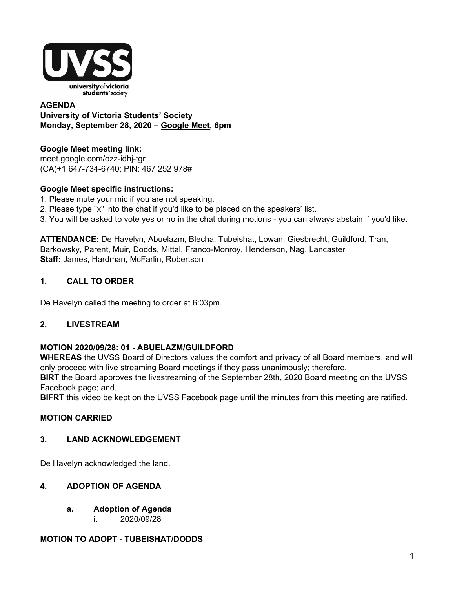

#### **AGENDA University of Victoria Students' Society Monday, September 28, 2020 – Google Meet, 6pm**

# **Google Meet meeting link:**

meet.google.com/ozz-idhj-tgr (CA)+1 647-734-6740; PIN: 467 252 978#

# **Google Meet specific instructions:**

- 1. Please mute your mic if you are not speaking.
- 2. Please type "x" into the chat if you'd like to be placed on the speakers' list.
- 3. You will be asked to vote yes or no in the chat during motions you can always abstain if you'd like.

**ATTENDANCE:** De Havelyn, Abuelazm, Blecha, Tubeishat, Lowan, Giesbrecht, Guildford, Tran, Barkowsky, Parent, Muir, Dodds, Mittal, Franco-Monroy, Henderson, Nag, Lancaster **Staff:** James, Hardman, McFarlin, Robertson

# **1. CALL TO ORDER**

De Havelyn called the meeting to order at 6:03pm.

### **2. LIVESTREAM**

### **MOTION 2020/09/28: 01 - ABUELAZM/GUILDFORD**

**WHEREAS** the UVSS Board of Directors values the comfort and privacy of all Board members, and will only proceed with live streaming Board meetings if they pass unanimously; therefore,

**BIRT** the Board approves the livestreaming of the September 28th, 2020 Board meeting on the UVSS Facebook page; and,

**BIFRT** this video be kept on the UVSS Facebook page until the minutes from this meeting are ratified.

### **MOTION CARRIED**

### **3. LAND ACKNOWLEDGEMENT**

De Havelyn acknowledged the land.

### **4. ADOPTION OF AGENDA**

- **a. Adoption of Agenda**
	- i. 2020/09/28

### **MOTION TO ADOPT - TUBEISHAT/DODDS**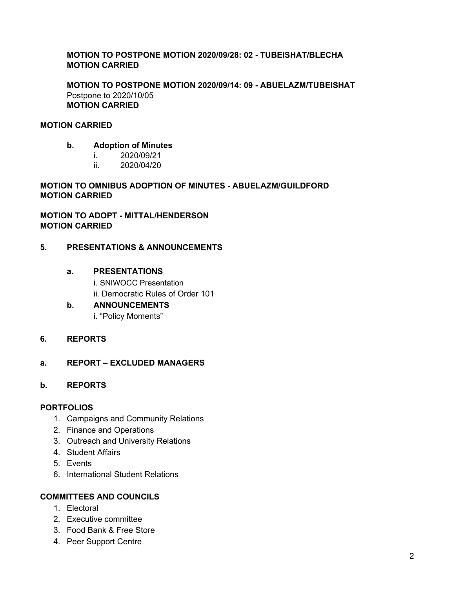#### **MOTION TO POSTPONE MOTION 2020/09/28: 02 - TUBEISHAT/BLECHA MOTION CARRIED**

**MOTION TO POSTPONE MOTION 2020/09/14: 09 - ABUELAZM/TUBEISHAT** Postpone to 2020/10/05 **MOTION CARRIED**

#### **MOTION CARRIED**

- **b. Adoption of Minutes**
	- i. 2020/09/21
		- ii. 2020/04/20

**MOTION TO OMNIBUS ADOPTION OF MINUTES - ABUELAZM/GUILDFORD MOTION CARRIED**

**MOTION TO ADOPT - MITTAL/HENDERSON MOTION CARRIED**

#### **5. PRESENTATIONS & ANNOUNCEMENTS**

#### **a. PRESENTATIONS**

i. SNIWOCC Presentation

ii. Democratic Rules of Order 101

**b. ANNOUNCEMENTS**

i. "Policy Moments"

#### **6. REPORTS**

#### **a. REPORT – EXCLUDED MANAGERS**

#### **b. REPORTS**

#### **PORTFOLIOS**

- 1. Campaigns and Community Relations
- 2. Finance and Operations
- 3. Outreach and University Relations
- 4. Student Affairs
- 5. Events
- 6. International Student Relations

#### **COMMITTEES AND COUNCILS**

- 1. Electoral
- 2. Executive committee
- 3. Food Bank & Free Store
- 4. Peer Support Centre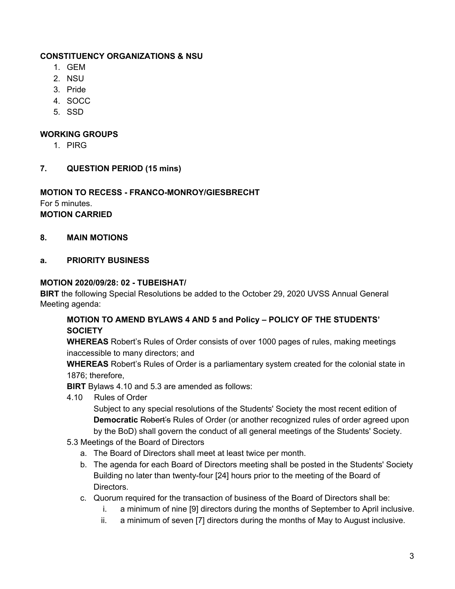### **CONSTITUENCY ORGANIZATIONS & NSU**

- 1. GEM
- 2. NSU
- 3. Pride
- 4. SOCC
- 5. SSD

### **WORKING GROUPS**

- 1. PIRG
- **7. QUESTION PERIOD (15 mins)**

## **MOTION TO RECESS - FRANCO-MONROY/GIESBRECHT** For 5 minutes.

**MOTION CARRIED**

**8. MAIN MOTIONS**

### **a. PRIORITY BUSINESS**

### **MOTION 2020/09/28: 02 - TUBEISHAT/**

**BIRT** the following Special Resolutions be added to the October 29, 2020 UVSS Annual General Meeting agenda:

# **MOTION TO AMEND BYLAWS 4 AND 5 and Policy – POLICY OF THE STUDENTS' SOCIETY**

**WHEREAS** Robert's Rules of Order consists of over 1000 pages of rules, making meetings inaccessible to many directors; and

**WHEREAS** Robert's Rules of Order is a parliamentary system created for the colonial state in 1876; therefore,

**BIRT** Bylaws 4.10 and 5.3 are amended as follows:

4.10 Rules of Order

Subject to any special resolutions of the Students' Society the most recent edition of **Democratic** Robert's Rules of Order (or another recognized rules of order agreed upon by the BoD) shall govern the conduct of all general meetings of the Students' Society.

- 5.3 Meetings of the Board of Directors
	- a. The Board of Directors shall meet at least twice per month.
	- b. The agenda for each Board of Directors meeting shall be posted in the Students' Society Building no later than twenty-four [24] hours prior to the meeting of the Board of Directors.
	- c. Quorum required for the transaction of business of the Board of Directors shall be:
		- i. a minimum of nine [9] directors during the months of September to April inclusive.
		- ii. a minimum of seven [7] directors during the months of May to August inclusive.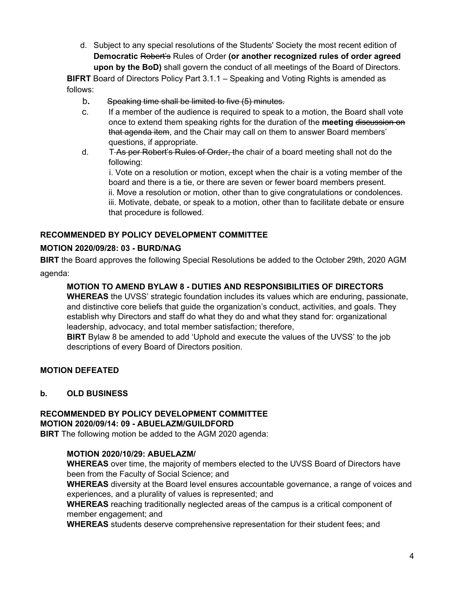d. Subject to any special resolutions of the Students' Society the most recent edition of **Democratic** Robert's Rules of Order **(or another recognized rules of order agreed upon by the BoD)** shall govern the conduct of all meetings of the Board of Directors.

**BIFRT** Board of Directors Policy Part 3.1.1 – Speaking and Voting Rights is amended as follows:

- b**.** Speaking time shall be limited to five (5) minutes.
- c. If a member of the audience is required to speak to a motion, the Board shall vote once to extend them speaking rights for the duration of the **meeting** discussion on that agenda item, and the Chair may call on them to answer Board members' questions, if appropriate.
- d. T-As per Robert's Rules of Order, the chair of a board meeting shall not do the following:

i. Vote on a resolution or motion, except when the chair is a voting member of the board and there is a tie, or there are seven or fewer board members present. ii. Move a resolution or motion, other than to give congratulations or condolences. iii. Motivate, debate, or speak to a motion, other than to facilitate debate or ensure that procedure is followed.

# **RECOMMENDED BY POLICY DEVELOPMENT COMMITTEE**

# **MOTION 2020/09/28: 03 - BURD/NAG**

**BIRT** the Board approves the following Special Resolutions be added to the October 29th, 2020 AGM agenda:

# **MOTION TO AMEND BYLAW 8 - DUTIES AND RESPONSIBILITIES OF DIRECTORS**

**WHEREAS** the UVSS' strategic foundation includes its values which are enduring, passionate, and distinctive core beliefs that guide the organization's conduct, activities, and goals. They establish why Directors and staff do what they do and what they stand for: organizational leadership, advocacy, and total member satisfaction; therefore,

**BIRT** Bylaw 8 be amended to add 'Uphold and execute the values of the UVSS' to the job descriptions of every Board of Directors position.

### **MOTION DEFEATED**

# **b. OLD BUSINESS**

#### **RECOMMENDED BY POLICY DEVELOPMENT COMMITTEE MOTION 2020/09/14: 09 - ABUELAZM/GUILDFORD**

**BIRT** The following motion be added to the AGM 2020 agenda:

### **MOTION 2020/10/29: ABUELAZM/**

**WHEREAS** over time, the majority of members elected to the UVSS Board of Directors have been from the Faculty of Social Science; and

**WHEREAS** diversity at the Board level ensures accountable governance, a range of voices and experiences, and a plurality of values is represented; and

**WHEREAS** reaching traditionally neglected areas of the campus is a critical component of member engagement; and

**WHEREAS** students deserve comprehensive representation for their student fees; and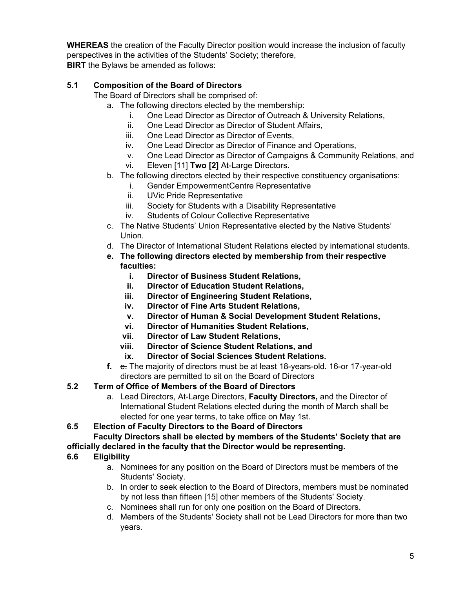**WHEREAS** the creation of the Faculty Director position would increase the inclusion of faculty perspectives in the activities of the Students' Society; therefore, **BIRT** the Bylaws be amended as follows:

# **5.1 Composition of the Board of Directors**

The Board of Directors shall be comprised of:

- a. The following directors elected by the membership:
	- i. One Lead Director as Director of Outreach & University Relations,
	- ii. One Lead Director as Director of Student Affairs,
	- iii. One Lead Director as Director of Events,
	- iv. One Lead Director as Director of Finance and Operations,
	- v. One Lead Director as Director of Campaigns & Community Relations, and
	- vi. Eleven [11] **Two [2]** At-Large Directors**.**
- b. The following directors elected by their respective constituency organisations:
	- i. Gender EmpowermentCentre Representative
	- ii. UVic Pride Representative
	- iii. Society for Students with a Disability Representative
	- iv. Students of Colour Collective Representative
- c. The Native Students' Union Representative elected by the Native Students' Union.
- d. The Director of International Student Relations elected by international students.
- **e. The following directors elected by membership from their respective faculties:**
	- **i. Director of Business Student Relations,**
	- **ii. Director of Education Student Relations,**
	- **iii. Director of Engineering Student Relations,**
	- **iv. Director of Fine Arts Student Relations,**
	- **v. Director of Human & Social Development Student Relations,**
	- **vi. Director of Humanities Student Relations,**
	- **vii. Director of Law Student Relations,**
	- **viii. Director of Science Student Relations, and**
		- **ix. Director of Social Sciences Student Relations.**
- **f.** e. The majority of directors must be at least 18-years-old. 16-or 17-year-old directors are permitted to sit on the Board of Directors

# **5.2 Term of Office of Members of the Board of Directors**

a. Lead Directors, At-Large Directors, **Faculty Directors,** and the Director of International Student Relations elected during the month of March shall be elected for one year terms, to take office on May 1st.

**6.5 Election of Faculty Directors to the Board of Directors**

### **Faculty Directors shall be elected by members of the Students' Society that are officially declared in the faculty that the Director would be representing.**

# **6.6 Eligibility**

- a. Nominees for any position on the Board of Directors must be members of the Students' Society.
- b. In order to seek election to the Board of Directors, members must be nominated by not less than fifteen [15] other members of the Students' Society.
- c. Nominees shall run for only one position on the Board of Directors.
- d. Members of the Students' Society shall not be Lead Directors for more than two years.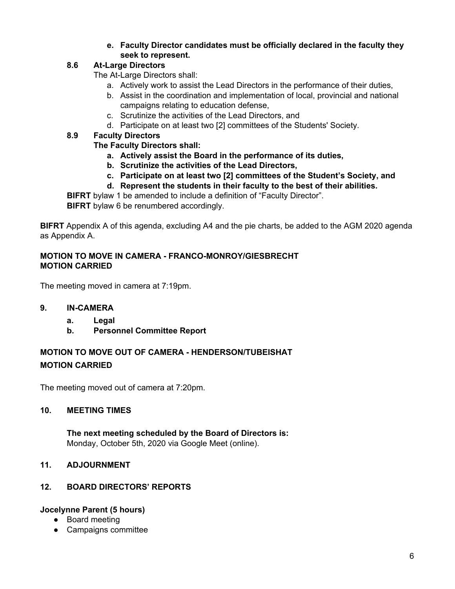### **e. Faculty Director candidates must be officially declared in the faculty they seek to represent.**

### **8.6 At-Large Directors**

The At-Large Directors shall:

- a. Actively work to assist the Lead Directors in the performance of their duties,
- b. Assist in the coordination and implementation of local, provincial and national campaigns relating to education defense,
- c. Scrutinize the activities of the Lead Directors, and
- d. Participate on at least two [2] committees of the Students' Society.

### **8.9 Faculty Directors**

#### **The Faculty Directors shall:**

- **a. Actively assist the Board in the performance of its duties,**
- **b. Scrutinize the activities of the Lead Directors,**
- **c. Participate on at least two [2] committees of the Student's Society, and**
- **d. Represent the students in their faculty to the best of their abilities.**

**BIFRT** bylaw 1 be amended to include a definition of "Faculty Director".

**BIFRT** bylaw 6 be renumbered accordingly.

**BIFRT** Appendix A of this agenda, excluding A4 and the pie charts, be added to the AGM 2020 agenda as Appendix A.

### **MOTION TO MOVE IN CAMERA - FRANCO-MONROY/GIESBRECHT MOTION CARRIED**

The meeting moved in camera at 7:19pm.

- **9. IN-CAMERA**
	- **a. Legal**
	- **b. Personnel Committee Report**

# **MOTION TO MOVE OUT OF CAMERA - HENDERSON/TUBEISHAT MOTION CARRIED**

The meeting moved out of camera at 7:20pm.

#### **10. MEETING TIMES**

**The next meeting scheduled by the Board of Directors is:** Monday, October 5th, 2020 via Google Meet (online).

#### **11. ADJOURNMENT**

#### **12. BOARD DIRECTORS' REPORTS**

#### **Jocelynne Parent (5 hours)**

- Board meeting
- Campaigns committee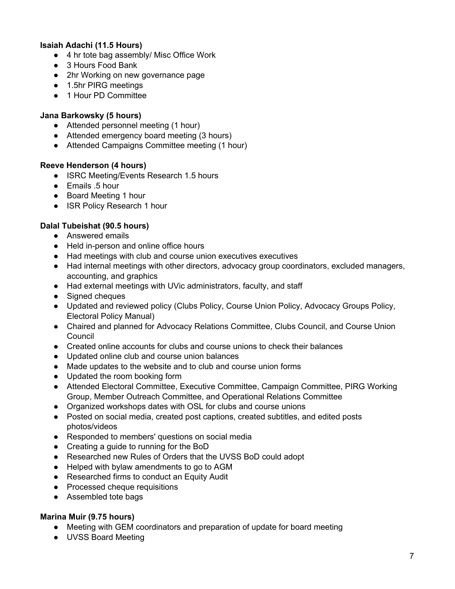### **Isaiah Adachi (11.5 Hours)**

- 4 hr tote bag assembly/ Misc Office Work
- 3 Hours Food Bank
- 2hr Working on new governance page
- 1.5hr PIRG meetings
- 1 Hour PD Committee

#### **Jana Barkowsky (5 hours)**

- Attended personnel meeting (1 hour)
- Attended emergency board meeting (3 hours)
- Attended Campaigns Committee meeting (1 hour)

#### **Reeve Henderson (4 hours)**

- ISRC Meeting/Events Research 1.5 hours
- Emails .5 hour
- Board Meeting 1 hour
- ISR Policy Research 1 hour

#### **Dalal Tubeishat (90.5 hours)**

- Answered emails
- Held in-person and online office hours
- Had meetings with club and course union executives executives
- Had internal meetings with other directors, advocacy group coordinators, excluded managers, accounting, and graphics
- Had external meetings with UVic administrators, faculty, and staff
- Signed cheques
- Updated and reviewed policy (Clubs Policy, Course Union Policy, Advocacy Groups Policy, Electoral Policy Manual)
- Chaired and planned for Advocacy Relations Committee, Clubs Council, and Course Union Council
- Created online accounts for clubs and course unions to check their balances
- Updated online club and course union balances
- Made updates to the website and to club and course union forms
- Updated the room booking form
- Attended Electoral Committee, Executive Committee, Campaign Committee, PIRG Working Group, Member Outreach Committee, and Operational Relations Committee
- Organized workshops dates with OSL for clubs and course unions
- Posted on social media, created post captions, created subtitles, and edited posts photos/videos
- Responded to members' questions on social media
- Creating a guide to running for the BoD
- Researched new Rules of Orders that the UVSS BoD could adopt
- Helped with bylaw amendments to go to AGM
- Researched firms to conduct an Equity Audit
- Processed cheque requisitions
- Assembled tote bags

#### **Marina Muir (9.75 hours)**

- Meeting with GEM coordinators and preparation of update for board meeting
- UVSS Board Meeting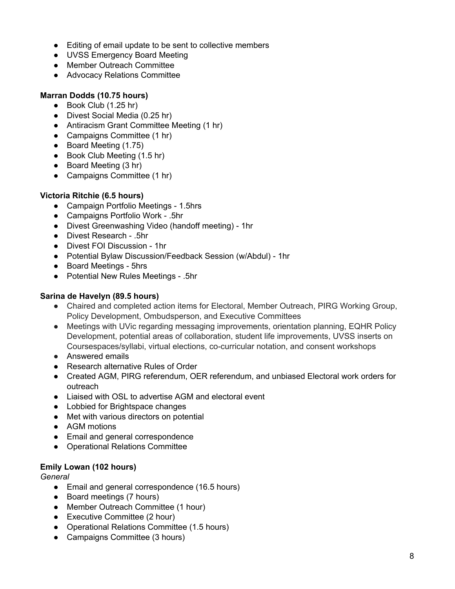- Editing of email update to be sent to collective members
- UVSS Emergency Board Meeting
- Member Outreach Committee
- Advocacy Relations Committee

### **Marran Dodds (10.75 hours)**

- Book Club (1.25 hr)
- Divest Social Media (0.25 hr)
- Antiracism Grant Committee Meeting (1 hr)
- Campaigns Committee (1 hr)
- Board Meeting (1.75)
- Book Club Meeting (1.5 hr)
- Board Meeting (3 hr)
- Campaigns Committee (1 hr)

### **Victoria Ritchie (6.5 hours)**

- Campaign Portfolio Meetings 1.5hrs
- Campaigns Portfolio Work .5hr
- Divest Greenwashing Video (handoff meeting) 1hr
- Divest Research .5hr
- Divest FOI Discussion 1hr
- Potential Bylaw Discussion/Feedback Session (w/Abdul) 1hr
- Board Meetings 5hrs
- Potential New Rules Meetings .5hr

#### **Sarina de Havelyn (89.5 hours)**

- Chaired and completed action items for Electoral, Member Outreach, PIRG Working Group, Policy Development, Ombudsperson, and Executive Committees
- Meetings with UVic regarding messaging improvements, orientation planning, EQHR Policy Development, potential areas of collaboration, student life improvements, UVSS inserts on Coursespaces/syllabi, virtual elections, co-curricular notation, and consent workshops
- Answered emails
- Research alternative Rules of Order
- Created AGM, PIRG referendum, OER referendum, and unbiased Electoral work orders for outreach
- Liaised with OSL to advertise AGM and electoral event
- Lobbied for Brightspace changes
- Met with various directors on potential
- AGM motions
- Email and general correspondence
- Operational Relations Committee

#### **Emily Lowan (102 hours)**

*General*

- Email and general correspondence (16.5 hours)
- Board meetings (7 hours)
- Member Outreach Committee (1 hour)
- Executive Committee (2 hour)
- Operational Relations Committee (1.5 hours)
- Campaigns Committee (3 hours)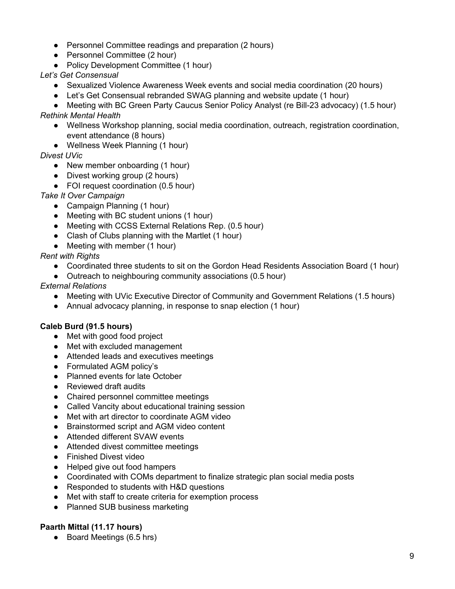- Personnel Committee readings and preparation (2 hours)
- Personnel Committee (2 hour)
- Policy Development Committee (1 hour)

*Let's Get Consensual*

- Sexualized Violence Awareness Week events and social media coordination (20 hours)
- Let's Get Consensual rebranded SWAG planning and website update (1 hour)

● Meeting with BC Green Party Caucus Senior Policy Analyst (re Bill-23 advocacy) (1.5 hour) *Rethink Mental Health*

- Wellness Workshop planning, social media coordination, outreach, registration coordination, event attendance (8 hours)
- Wellness Week Planning (1 hour)

*Divest UVic*

- New member onboarding (1 hour)
- Divest working group (2 hours)
- FOI request coordination (0.5 hour)
- *Take It Over Campaign*
	- Campaign Planning (1 hour)
	- Meeting with BC student unions (1 hour)
	- Meeting with CCSS External Relations Rep. (0.5 hour)
	- Clash of Clubs planning with the Martlet (1 hour)
	- Meeting with member (1 hour)

*Rent with Rights*

- Coordinated three students to sit on the Gordon Head Residents Association Board (1 hour)
- Outreach to neighbouring community associations (0.5 hour)

*External Relations*

- Meeting with UVic Executive Director of Community and Government Relations (1.5 hours)
- Annual advocacy planning, in response to snap election (1 hour)

#### **Caleb Burd (91.5 hours)**

- Met with good food project
- Met with excluded management
- Attended leads and executives meetings
- Formulated AGM policy's
- Planned events for late October
- Reviewed draft audits
- Chaired personnel committee meetings
- Called Vancity about educational training session
- Met with art director to coordinate AGM video
- Brainstormed script and AGM video content
- Attended different SVAW events
- Attended divest committee meetings
- Finished Divest video
- Helped give out food hampers
- Coordinated with COMs department to finalize strategic plan social media posts
- Responded to students with H&D questions
- Met with staff to create criteria for exemption process
- Planned SUB business marketing

#### **Paarth Mittal (11.17 hours)**

● Board Meetings (6.5 hrs)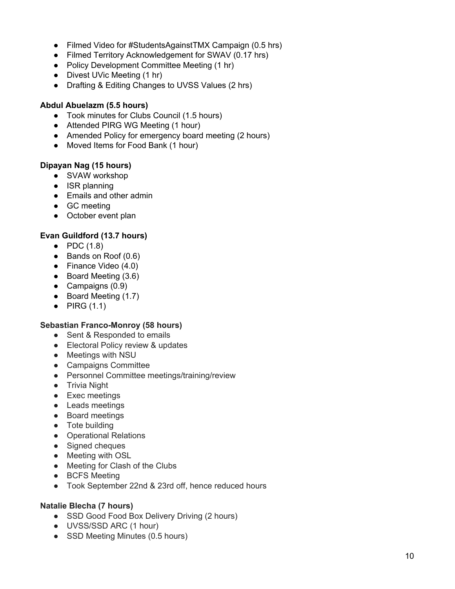- Filmed Video for #StudentsAgainstTMX Campaign (0.5 hrs)
- Filmed Territory Acknowledgement for SWAV (0.17 hrs)
- Policy Development Committee Meeting (1 hr)
- Divest UVic Meeting (1 hr)
- Drafting & Editing Changes to UVSS Values (2 hrs)

#### Abdul Abuelazm (5.5 hours)

- Took minutes for Clubs Council (1.5 hours)
- Attended PIRG WG Meeting (1 hour)
- Amended Policy for emergency board meeting (2 hours)
- Moved Items for Food Bank (1 hour)

#### **Dipayan Nag (15 hours)**

- SVAW workshop
- ISR planning
- Emails and other admin
- GC meeting
- October event plan

### Evan Guildford (13.7 hours)

- PDC  $(1.8)$
- Bands on Roof (0.6)
- Finance Video (4.0)
- Board Meeting (3.6)
- Campaigns (0.9)
- Board Meeting (1.7)
- $\bullet$  PIRG (1.1)

#### Sebastian Franco-Monroy (58 hours)

- Sent & Responded to emails
- Electoral Policy review & updates
- Meetings with NSU
- Campaigns Committee
- Personnel Committee meetings/training/review
- Trivia Night
- Exec meetings
- Leads meetings
- Board meetings
- Tote building
- Operational Relations
- Signed cheques
- Meeting with OSL
- Meeting for Clash of the Clubs
- BCFS Meeting
- Took September 22nd & 23rd off, hence reduced hours

#### Natalie Blecha (7 hours)

- SSD Good Food Box Delivery Driving (2 hours)
- UVSS/SSD ARC (1 hour)
- SSD Meeting Minutes (0.5 hours)